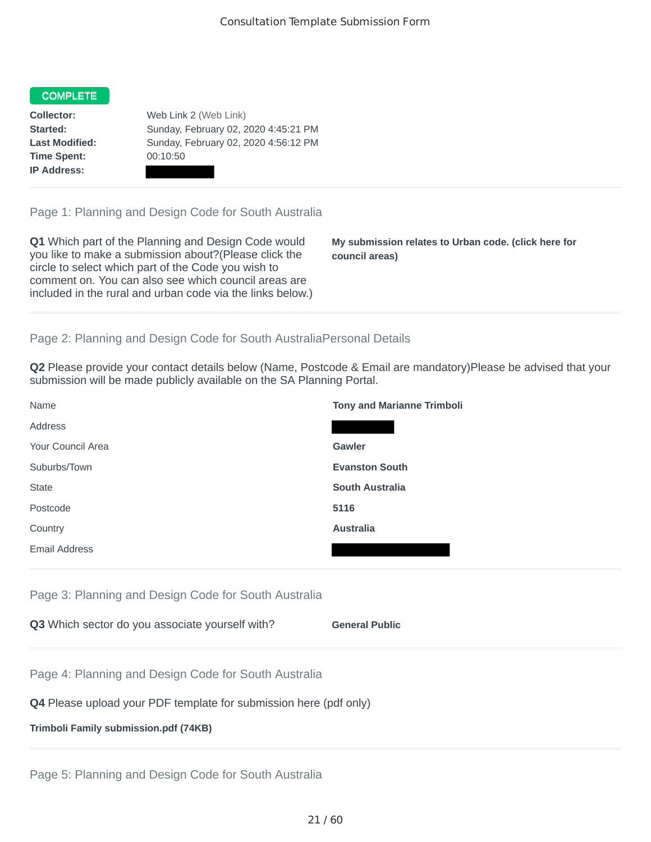## **COMPLETE**

**Time Spent:** 00:10:50 **IP Address:**

**Collector:** Web Link 2 (Web Link) **Started:** Sunday, February 02, 2020 4:45:21 PM **Last Modified:** Sunday, February 02, 2020 4:56:12 PM

Page 1: Planning and Design Code for South Australia

**Q1** Which part of the Planning and Design Code would you like to make a submission about?(Please click the circle to select which part of the Code you wish to comment on. You can also see which council areas are included in the rural and urban code via the links below.)

**My submission relates to Urban code. (click here for council areas)**

## Page 2: Planning and Design Code for South AustraliaPersonal Details

**Q2** Please provide your contact details below (Name, Postcode & Email are mandatory)Please be advised that your submission will be made publicly available on the SA Planning Portal.

| Name                 | <b>Tony and Marianne Trimboli</b> |
|----------------------|-----------------------------------|
| Address              |                                   |
| Your Council Area    | <b>Gawler</b>                     |
| Suburbs/Town         | <b>Evanston South</b>             |
| <b>State</b>         | <b>South Australia</b>            |
| Postcode             | 5116                              |
| Country              | <b>Australia</b>                  |
| <b>Email Address</b> |                                   |

Page 3: Planning and Design Code for South Australia

| Q3 Which sector do you associate yourself with? | <b>General Public</b> |
|-------------------------------------------------|-----------------------|
|-------------------------------------------------|-----------------------|

Page 4: Planning and Design Code for South Australia

## **Q4** Please upload your PDF template for submission here (pdf only)

## **Trimboli Family submission.pdf (74KB)**

Page 5: Planning and Design Code for South Australia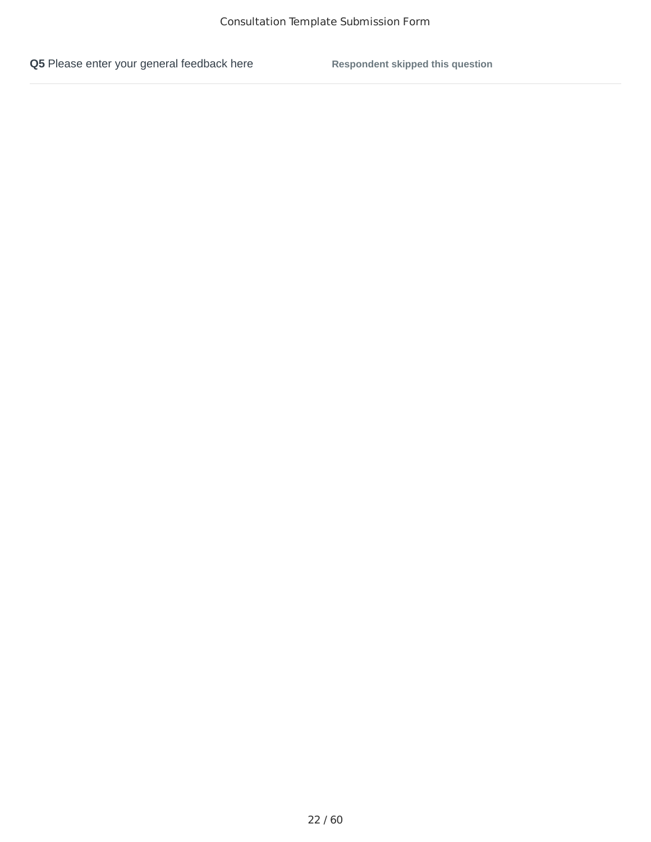**Q5** Please enter your general feedback here **Respondent skipped this question**